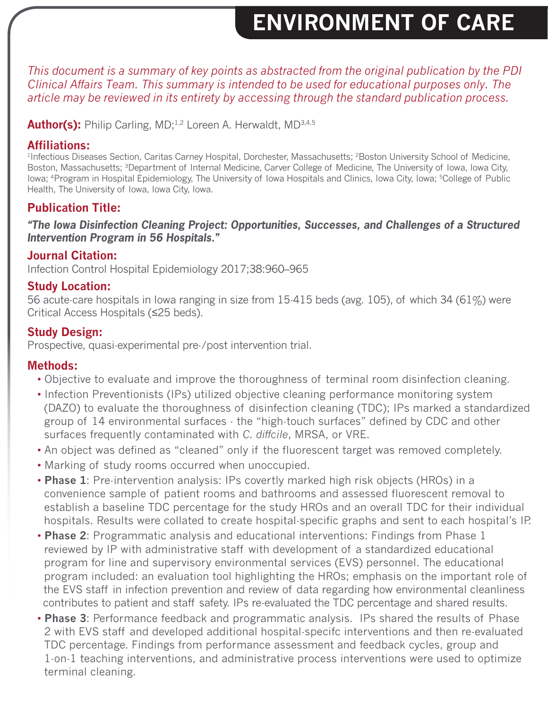## **ENVIRONMENT OF CARE**

 *This document is a summary of key points as abstracted from the original publication by the PDI Clinical Affairs Team. This summary is intended to be used for educational purposes only. The article may be reviewed in its entirety by accessing through the standard publication process.*

**Author(s):** Philip Carling, MD;<sup>1,2</sup> Loreen A. Herwaldt, MD<sup>3,4,5</sup>

#### **Affiliations:**

<sup>1</sup>Infectious Diseases Section, Caritas Carney Hospital, Dorchester, Massachusetts; <sup>2</sup>Boston University School of Medicine, Boston, Massachusetts; 3Department of Internal Medicine, Carver College of Medicine, The University of Iowa, Iowa City, Iowa; <sup>4</sup>Program in Hospital Epidemiology, The University of Iowa Hospitals and Clinics, Iowa City, Iowa; <sup>5</sup>College of Public Health, The University of Iowa, Iowa City, Iowa.

### **Publication Title:**

*"The Iowa Disinfection Cleaning Project: Opportunities, Successes, and Challenges of a Structured Intervention Program in 56 Hospitals."*

#### **Journal Citation:**

Infection Control Hospital Epidemiology 2017;38:960–965

#### **Study Location:**

56 acute-care hospitals in Iowa ranging in size from 15-415 beds (avg. 105), of which 34 (61%) were Critical Access Hospitals (≤25 beds).

#### **Study Design:**

Prospective, quasi-experimental pre-/post intervention trial.

#### **Methods:**

- Objective to evaluate and improve the thoroughness of terminal room disinfection cleaning.
- Infection Preventionists (IPs) utilized objective cleaning performance monitoring system (DAZO) to evaluate the thoroughness of disinfection cleaning (TDC); IPs marked a standardized group of 14 environmental surfaces - the "high-touch surfaces" defined by CDC and other surfaces frequently contaminated with *C. diffcile*, MRSA, or VRE.
- An object was defined as "cleaned" only if the fluorescent target was removed completely.
- Marking of study rooms occurred when unoccupied.
- **Phase 1**: Pre-intervention analysis: IPs covertly marked high risk objects (HROs) in a convenience sample of patient rooms and bathrooms and assessed fluorescent removal to establish a baseline TDC percentage for the study HROs and an overall TDC for their individual hospitals. Results were collated to create hospital-specific graphs and sent to each hospital's IP.
- **Phase 2**: Programmatic analysis and educational interventions: Findings from Phase 1 reviewed by IP with administrative staff with development of a standardized educational program for line and supervisory environmental services (EVS) personnel. The educational program included: an evaluation tool highlighting the HROs; emphasis on the important role of the EVS staff in infection prevention and review of data regarding how environmental cleanliness contributes to patient and staff safety. IPs re-evaluated the TDC percentage and shared results.
- **Phase 3**: Performance feedback and programmatic analysis. IPs shared the results of Phase 2 with EVS staff and developed additional hospital-specifc interventions and then re-evaluated TDC percentage. Findings from performance assessment and feedback cycles, group and 1-on-1 teaching interventions, and administrative process interventions were used to optimize terminal cleaning.